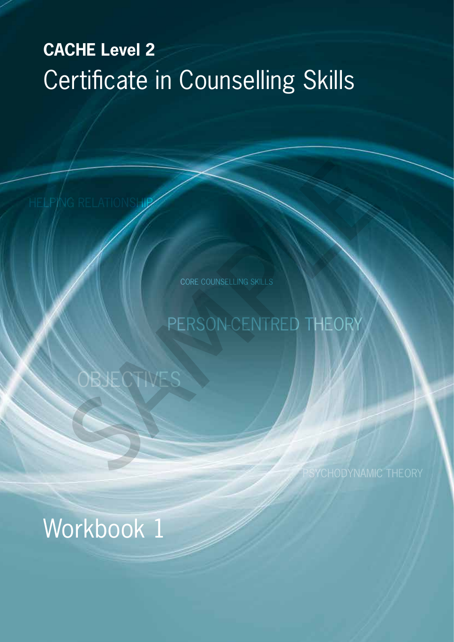# **CACHE Level 2** Certificate in Counselling Skills

CORE COUNSELLING SKILLS

# PERSON-CENTRED THEORY NG RELATIONS INTERNATIONAL CORE COURSELLING SKILLS

# Workbook 1

OBJECTIVES

HELPING RELATIONSHIP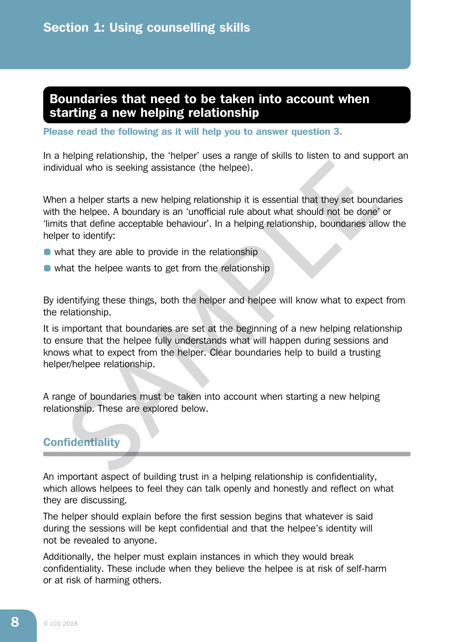## Boundaries that need to be taken into account when starting a new helping relationship

Please read the following as it will help you to answer question 3.

In a helping relationship, the 'helper' uses a range of skills to listen to and support an individual who is seeking assistance (the helpee).

When a helper starts a new helping relationship it is essential that they set boundaries with the helpee. A boundary is an 'unofficial rule about what should not be done' or 'limits that define acceptable behaviour'. In a helping relationship, boundaries allow the helper to identify:

- what they are able to provide in the relationship
- what the helpee wants to get from the relationship

By identifying these things, both the helper and helpee will know what to expect from the relationship.

It is important that boundaries are set at the beginning of a new helping relationship to ensure that the helpee fully understands what will happen during sessions and knows what to expect from the helper. Clear boundaries help to build a trusting helper/helpee relationship. ideal who is seeking assistance (the helpee).<br>
Idual who is seeking assistance (the helpee).<br>
In a helper starts a new helping relationship it is essential that they set bound<br>
the helpee. A boundary is an 'unofficial rule

A range of boundaries must be taken into account when starting a new helping relationship. These are explored below.

### **Confidentiality**

An important aspect of building trust in a helping relationship is confidentiality, which allows helpees to feel they can talk openly and honestly and reflect on what they are discussing.

The helper should explain before the first session begins that whatever is said during the sessions will be kept confidential and that the helpee's identity will not be revealed to anyone.

Additionally, the helper must explain instances in which they would break confidentiality. These include when they believe the helpee is at risk of self-harm or at risk of harming others.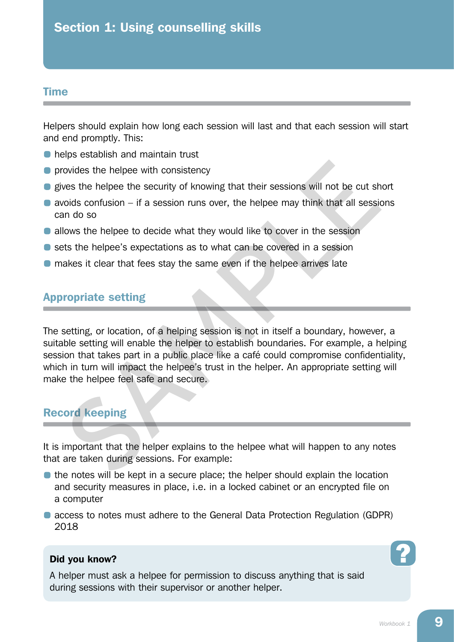#### Time

Helpers should explain how long each session will last and that each session will start and end promptly. This:

- **helps establish and maintain trust**
- **•** provides the helpee with consistency
- **•** gives the helpee the security of knowing that their sessions will not be cut short
- $\bullet$  avoids confusion if a session runs over, the helpee may think that all sessions can do so
- **allows the helpee to decide what they would like to cover in the session**
- sets the helpee's expectations as to what can be covered in a session
- makes it clear that fees stay the same even if the helpee arrives late

### Appropriate setting

The setting, or location, of a helping session is not in itself a boundary, however, a suitable setting will enable the helper to establish boundaries. For example, a helping session that takes part in a public place like a café could compromise confidentiality, which in turn will impact the helpee's trust in the helper. An appropriate setting will make the helpee feel safe and secure. ordes the helpee with consistency<br>wes the helpee the security of knowing that their sessions will not be cut shoulds confusion – if a session runs over, the helpee may think that all session<br>and o so<br>those the helpee to de

### Record keeping

It is important that the helper explains to the helpee what will happen to any notes that are taken during sessions. For example:

- the notes will be kept in a secure place; the helper should explain the location and security measures in place, i.e. in a locked cabinet or an encrypted file on a computer
- access to notes must adhere to the General Data Protection Regulation (GDPR) 2018

#### Did you know?

A helper must ask a helpee for permission to discuss anything that is said during sessions with their supervisor or another helper.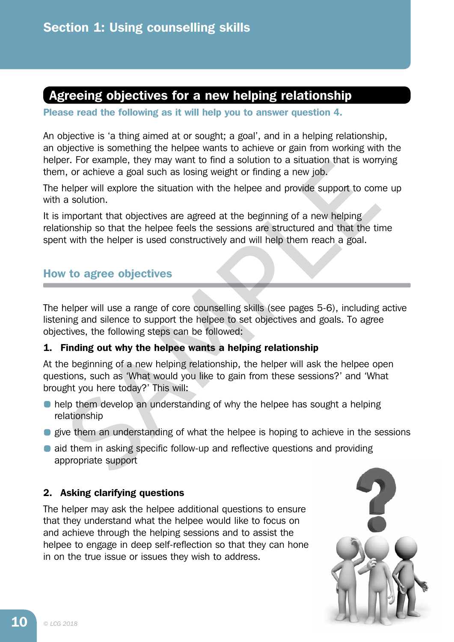# Agreeing objectives for a new helping relationship

Please read the following as it will help you to answer question 4.

An objective is 'a thing aimed at or sought; a goal', and in a helping relationship, an objective is something the helpee wants to achieve or gain from working with the helper. For example, they may want to find a solution to a situation that is worrying them, or achieve a goal such as losing weight or finding a new job.

The helper will explore the situation with the helpee and provide support to come up with a solution.

It is important that objectives are agreed at the beginning of a new helping relationship so that the helpee feels the sessions are structured and that the time spent with the helper is used constructively and will help them reach a goal. F. For example, rivey may want to fining a solution to a situation in the sworp, i.e., i.or caching a level studies are agoal such as losing weight or finding a new job.<br>
A, or cachieve a goal such as losing weight or find

## How to agree objectives

The helper will use a range of core counselling skills (see pages 5-6), including active listening and silence to support the helpee to set objectives and goals. To agree objectives, the following steps can be followed:

#### 1. Finding out why the helpee wants a helping relationship

At the beginning of a new helping relationship, the helper will ask the helpee open questions, such as 'What would you like to gain from these sessions?' and 'What brought you here today?' This will:

- **help them develop an understanding of why the helpee has sought a helping** relationship
- **e** give them an understanding of what the helpee is hoping to achieve in the sessions
- **•** aid them in asking specific follow-up and reflective questions and providing appropriate support

#### 2. Asking clarifying questions

The helper may ask the helpee additional questions to ensure that they understand what the helpee would like to focus on and achieve through the helping sessions and to assist the helpee to engage in deep self-reflection so that they can hone in on the true issue or issues they wish to address.

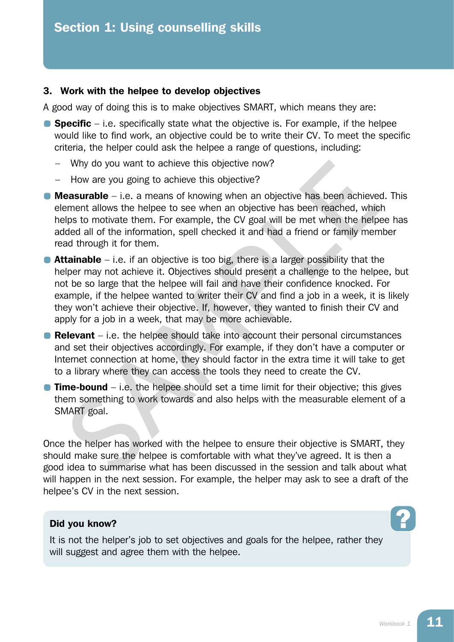#### 3. Work with the helpee to develop objectives

A good way of doing this is to make objectives SMART, which means they are:

- **Specific** i.e. specifically state what the objective is. For example, if the helpee would like to find work, an objective could be to write their CV. To meet the specific criteria, the helper could ask the helpee a range of questions, including:
	- Why do you want to achieve this objective now?
	- How are you going to achieve this objective?
- **Measurable** i.e. a means of knowing when an objective has been achieved. This element allows the helpee to see when an objective has been reached, which helps to motivate them. For example, the CV goal will be met when the helpee has added all of the information, spell checked it and had a friend or family member read through it for them.
- **Attainable** i.e. if an objective is too big, there is a larger possibility that the helper may not achieve it. Objectives should present a challenge to the helpee, but not be so large that the helpee will fail and have their confidence knocked. For example, if the helpee wanted to writer their CV and find a job in a week, it is likely they won't achieve their objective. If, however, they wanted to finish their CV and apply for a job in a week, that may be more achievable. Why do you want to achieve this objective now?<br>
How are you going to achieve this objective?<br> **easurable** – i.e. a means of knowing when an objective has been achieve<br>
ement allows the helpes to see when an objective has
- **Relevant** i.e. the helpee should take into account their personal circumstances and set their objectives accordingly. For example, if they don't have a computer or Internet connection at home, they should factor in the extra time it will take to get to a library where they can access the tools they need to create the CV.
- **Time-bound** i.e. the helpee should set a time limit for their objective; this gives them something to work towards and also helps with the measurable element of a SMART goal.

Once the helper has worked with the helpee to ensure their objective is SMART, they should make sure the helpee is comfortable with what they've agreed. It is then a good idea to summarise what has been discussed in the session and talk about what will happen in the next session. For example, the helper may ask to see a draft of the helpee's CV in the next session.

#### Did you know?

It is not the helper's job to set objectives and goals for the helpee, rather they will suggest and agree them with the helpee.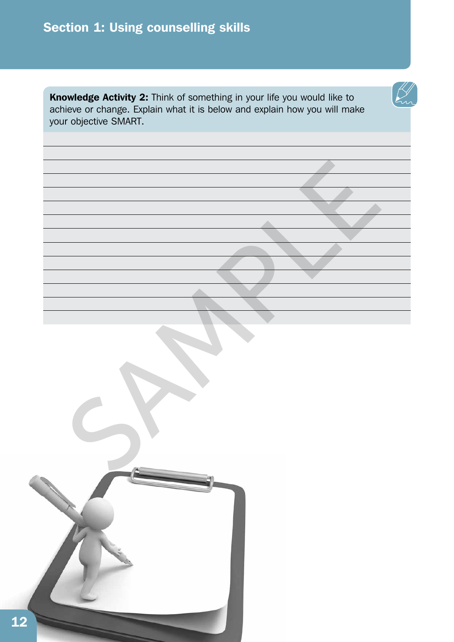# Section 1: Using counselling skills

Knowledge Activity 2: Think of something in your life you would like to achieve or change. Explain what it is below and explain how you will make your objective SMART.

SAMPLE